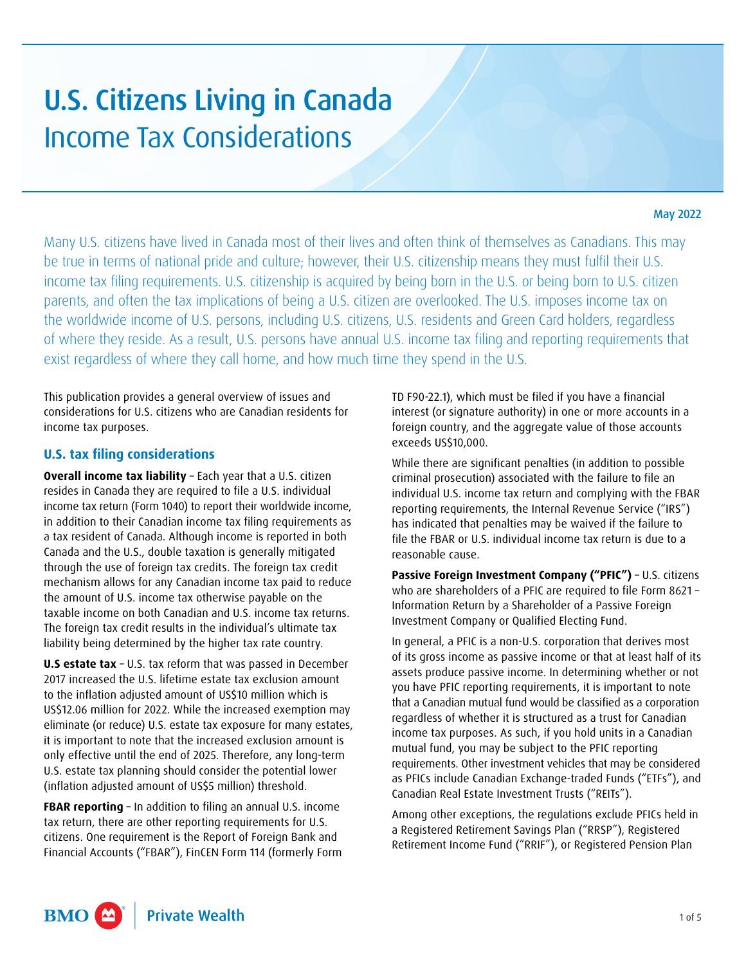# U.S. Citizens Living in Canada Income Tax Considerations

#### May 2022

Many U.S. citizens have lived in Canada most of their lives and often think of themselves as Canadians. This may be true in terms of national pride and culture; however, their U.S. citizenship means they must fulfil their U.S. income tax filing requirements. U.S. citizenship is acquired by being born in the U.S. or being born to U.S. citizen parents, and often the tax implications of being a U.S. citizen are overlooked. The U.S. imposes income tax on the worldwide income of U.S. persons, including U.S. citizens, U.S. residents and Green Card holders, regardless of where they reside. As a result, U.S. persons have annual U.S. income tax filing and reporting requirements that exist regardless of where they call home, and how much time they spend in the U.S.

This publication provides a general overview of issues and considerations for U.S. citizens who are Canadian residents for income tax purposes.

#### **U.S. tax filing considerations**

**Overall income tax liability** – Each year that a U.S. citizen resides in Canada they are required to file a U.S. individual income tax return (Form 1040) to report their worldwide income, in addition to their Canadian income tax filing requirements as a tax resident of Canada. Although income is reported in both Canada and the U.S., double taxation is generally mitigated through the use of foreign tax credits. The foreign tax credit mechanism allows for any Canadian income tax paid to reduce the amount of U.S. income tax otherwise payable on the taxable income on both Canadian and U.S. income tax returns. The foreign tax credit results in the individual's ultimate tax liability being determined by the higher tax rate country.

**U.S estate tax** – U.S. tax reform that was passed in December 2017 increased the U.S. lifetime estate tax exclusion amount to the inflation adjusted amount of US\$10 million which is US\$12.06 million for 2022. While the increased exemption may eliminate (or reduce) U.S. estate tax exposure for many estates, it is important to note that the increased exclusion amount is only effective until the end of 2025. Therefore, any long-term U.S. estate tax planning should consider the potential lower (inflation adjusted amount of US\$5 million) threshold.

**FBAR reporting - In addition to filing an annual U.S. income** tax return, there are other reporting requirements for U.S. citizens. One requirement is the Report of Foreign Bank and Financial Accounts ("FBAR"), FinCEN Form 114 (formerly Form TD F90-22.1), which must be filed if you have a financial interest (or signature authority) in one or more accounts in a foreign country, and the aggregate value of those accounts exceeds US\$10,000.

While there are significant penalties (in addition to possible criminal prosecution) associated with the failure to file an individual U.S. income tax return and complying with the FBAR reporting requirements, the Internal Revenue Service ("IRS") has indicated that penalties may be waived if the failure to file the FBAR or U.S. individual income tax return is due to a reasonable cause.

**Passive Foreign Investment Company ("PFIC")** – U.S. citizens who are shareholders of a PFIC are required to file Form 8621 – Information Return by a Shareholder of a Passive Foreign Investment Company or Qualified Electing Fund.

In general, a PFIC is a non-U.S. corporation that derives most of its gross income as passive income or that at least half of its assets produce passive income. In determining whether or not you have PFIC reporting requirements, it is important to note that a Canadian mutual fund would be classified as a corporation regardless of whether it is structured as a trust for Canadian income tax purposes. As such, if you hold units in a Canadian mutual fund, you may be subject to the PFIC reporting requirements. Other investment vehicles that may be considered as PFICs include Canadian Exchange-traded Funds ("ETFs"), and Canadian Real Estate Investment Trusts ("REITs").

Among other exceptions, the regulations exclude PFICs held in a Registered Retirement Savings Plan ("RRSP"), Registered Retirement Income Fund ("RRIF"), or Registered Pension Plan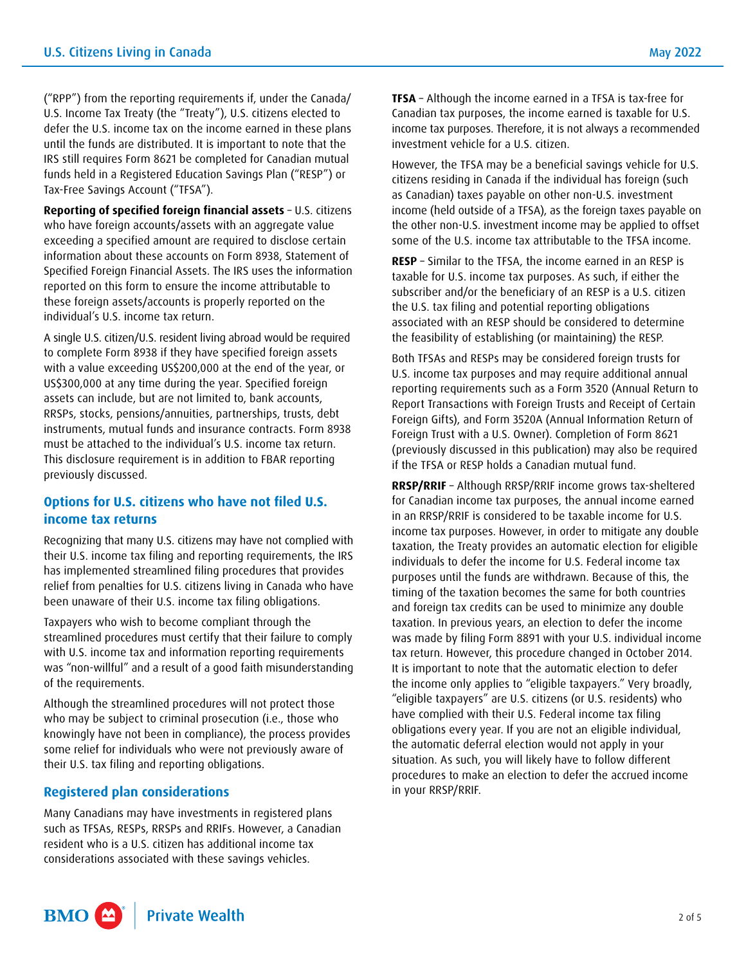("RPP") from the reporting requirements if, under the Canada/ U.S. Income Tax Treaty (the "Treaty"), U.S. citizens elected to defer the U.S. income tax on the income earned in these plans until the funds are distributed. It is important to note that the IRS still requires Form 8621 be completed for Canadian mutual funds held in a Registered Education Savings Plan ("RESP") or Tax-Free Savings Account ("TFSA").

**Reporting of specified foreign financial assets** – U.S. citizens who have foreign accounts/assets with an aggregate value exceeding a specified amount are required to disclose certain information about these accounts on Form 8938, Statement of Specified Foreign Financial Assets. The IRS uses the information reported on this form to ensure the income attributable to these foreign assets/accounts is properly reported on the individual's U.S. income tax return.

A single U.S. citizen/U.S. resident living abroad would be required to complete Form 8938 if they have specified foreign assets with a value exceeding US\$200,000 at the end of the year, or US\$300,000 at any time during the year. Specified foreign assets can include, but are not limited to, bank accounts, RRSPs, stocks, pensions/annuities, partnerships, trusts, debt instruments, mutual funds and insurance contracts. Form 8938 must be attached to the individual's U.S. income tax return. This disclosure requirement is in addition to FBAR reporting previously discussed.

## **Options for U.S. citizens who have not filed U.S. income tax returns**

Recognizing that many U.S. citizens may have not complied with their U.S. income tax filing and reporting requirements, the IRS has implemented streamlined filing procedures that provides relief from penalties for U.S. citizens living in Canada who have been unaware of their U.S. income tax filing obligations.

Taxpayers who wish to become compliant through the streamlined procedures must certify that their failure to comply with U.S. income tax and information reporting requirements was "non-willful" and a result of a good faith misunderstanding of the requirements.

Although the streamlined procedures will not protect those who may be subject to criminal prosecution (i.e., those who knowingly have not been in compliance), the process provides some relief for individuals who were not previously aware of their U.S. tax filing and reporting obligations.

#### **Registered plan considerations**

Many Canadians may have investments in registered plans such as TFSAs, RESPs, RRSPs and RRIFs. However, a Canadian resident who is a U.S. citizen has additional income tax considerations associated with these savings vehicles.

**TFSA** – Although the income earned in a TFSA is tax-free for Canadian tax purposes, the income earned is taxable for U.S. income tax purposes. Therefore, it is not always a recommended investment vehicle for a U.S. citizen.

However, the TFSA may be a beneficial savings vehicle for U.S. citizens residing in Canada if the individual has foreign (such as Canadian) taxes payable on other non-U.S. investment income (held outside of a TFSA), as the foreign taxes payable on the other non-U.S. investment income may be applied to offset some of the U.S. income tax attributable to the TFSA income.

**RESP** – Similar to the TFSA, the income earned in an RESP is taxable for U.S. income tax purposes. As such, if either the subscriber and/or the beneficiary of an RESP is a U.S. citizen the U.S. tax filing and potential reporting obligations associated with an RESP should be considered to determine the feasibility of establishing (or maintaining) the RESP.

Both TFSAs and RESPs may be considered foreign trusts for U.S. income tax purposes and may require additional annual reporting requirements such as a Form 3520 (Annual Return to Report Transactions with Foreign Trusts and Receipt of Certain Foreign Gifts), and Form 3520A (Annual Information Return of Foreign Trust with a U.S. Owner). Completion of Form 8621 (previously discussed in this publication) may also be required if the TFSA or RESP holds a Canadian mutual fund.

**RRSP/RRIF** – Although RRSP/RRIF income grows tax-sheltered for Canadian income tax purposes, the annual income earned in an RRSP/RRIF is considered to be taxable income for U.S. income tax purposes. However, in order to mitigate any double taxation, the Treaty provides an automatic election for eligible individuals to defer the income for U.S. Federal income tax purposes until the funds are withdrawn. Because of this, the timing of the taxation becomes the same for both countries and foreign tax credits can be used to minimize any double taxation. In previous years, an election to defer the income was made by filing Form 8891 with your U.S. individual income tax return. However, this procedure changed in October 2014. It is important to note that the automatic election to defer the income only applies to "eligible taxpayers." Very broadly, "eligible taxpayers" are U.S. citizens (or U.S. residents) who have complied with their U.S. Federal income tax filing obligations every year. If you are not an eligible individual, the automatic deferral election would not apply in your situation. As such, you will likely have to follow different procedures to make an election to defer the accrued income in your RRSP/RRIF.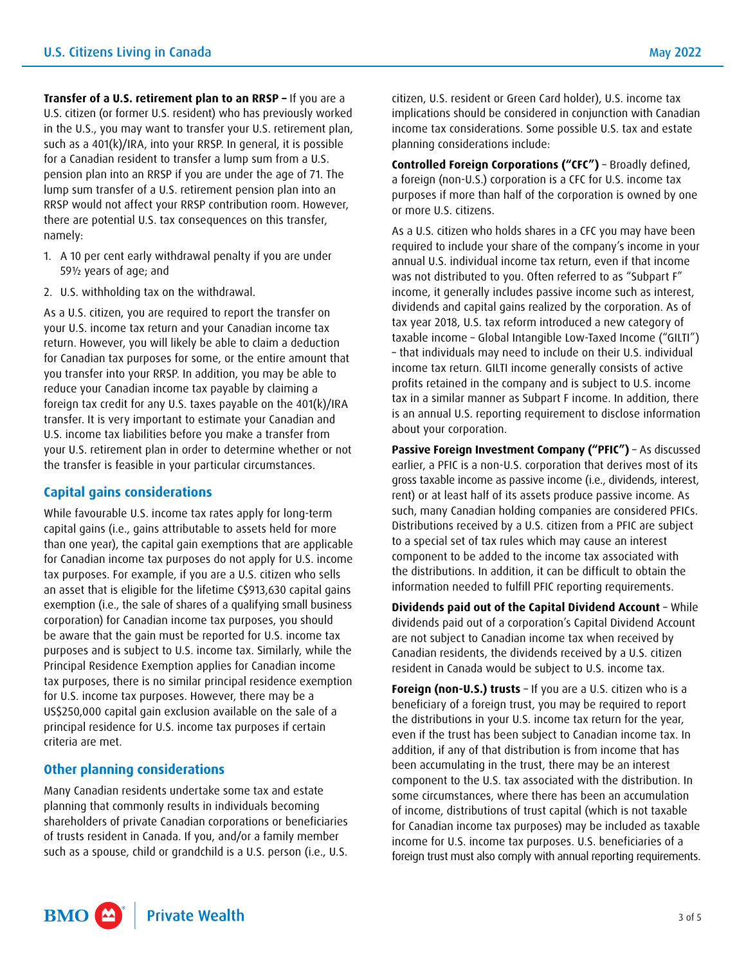**Transfer of a U.S. retirement plan to an RRSP –** If you are a U.S. citizen (or former U.S. resident) who has previously worked in the U.S., you may want to transfer your U.S. retirement plan, such as a 401(k)/IRA, into your RRSP. In general, it is possible for a Canadian resident to transfer a lump sum from a U.S.

pension plan into an RRSP if you are under the age of 71. The lump sum transfer of a U.S. retirement pension plan into an RRSP would not affect your RRSP contribution room. However, there are potential U.S. tax consequences on this transfer, namely:

- 1. A 10 per cent early withdrawal penalty if you are under 59½ years of age; and
- 2. U.S. withholding tax on the withdrawal.

As a U.S. citizen, you are required to report the transfer on your U.S. income tax return and your Canadian income tax return. However, you will likely be able to claim a deduction for Canadian tax purposes for some, or the entire amount that you transfer into your RRSP. In addition, you may be able to reduce your Canadian income tax payable by claiming a foreign tax credit for any U.S. taxes payable on the 401(k)/IRA transfer. It is very important to estimate your Canadian and U.S. income tax liabilities before you make a transfer from your U.S. retirement plan in order to determine whether or not the transfer is feasible in your particular circumstances.

#### **Capital gains considerations**

While favourable U.S. income tax rates apply for long-term capital gains (i.e., gains attributable to assets held for more than one year), the capital gain exemptions that are applicable for Canadian income tax purposes do not apply for U.S. income tax purposes. For example, if you are a U.S. citizen who sells an asset that is eligible for the lifetime C\$913,630 capital gains exemption (i.e., the sale of shares of a qualifying small business corporation) for Canadian income tax purposes, you should be aware that the gain must be reported for U.S. income tax purposes and is subject to U.S. income tax. Similarly, while the Principal Residence Exemption applies for Canadian income tax purposes, there is no similar principal residence exemption for U.S. income tax purposes. However, there may be a US\$250,000 capital gain exclusion available on the sale of a principal residence for U.S. income tax purposes if certain criteria are met.

## **Other planning considerations**

Many Canadian residents undertake some tax and estate planning that commonly results in individuals becoming shareholders of private Canadian corporations or beneficiaries of trusts resident in Canada. If you, and/or a family member such as a spouse, child or grandchild is a U.S. person (i.e., U.S.

citizen, U.S. resident or Green Card holder), U.S. income tax implications should be considered in conjunction with Canadian income tax considerations. Some possible U.S. tax and estate planning considerations include:

**Controlled Foreign Corporations ("CFC")** – Broadly defined, a foreign (non-U.S.) corporation is a CFC for U.S. income tax purposes if more than half of the corporation is owned by one or more U.S. citizens.

As a U.S. citizen who holds shares in a CFC you may have been required to include your share of the company's income in your annual U.S. individual income tax return, even if that income was not distributed to you. Often referred to as "Subpart F" income, it generally includes passive income such as interest, dividends and capital gains realized by the corporation. As of tax year 2018, U.S. tax reform introduced a new category of taxable income – Global Intangible Low-Taxed Income ("GILTI") – that individuals may need to include on their U.S. individual income tax return. GILTI income generally consists of active profits retained in the company and is subject to U.S. income tax in a similar manner as Subpart F income. In addition, there is an annual U.S. reporting requirement to disclose information about your corporation.

Passive Foreign Investment Company ("PFIC") - As discussed earlier, a PFIC is a non-U.S. corporation that derives most of its gross taxable income as passive income (i.e., dividends, interest, rent) or at least half of its assets produce passive income. As such, many Canadian holding companies are considered PFICs. Distributions received by a U.S. citizen from a PFIC are subject to a special set of tax rules which may cause an interest component to be added to the income tax associated with the distributions. In addition, it can be difficult to obtain the information needed to fulfill PFIC reporting requirements.

**Dividends paid out of the Capital Dividend Account** – While dividends paid out of a corporation's Capital Dividend Account are not subject to Canadian income tax when received by Canadian residents, the dividends received by a U.S. citizen resident in Canada would be subject to U.S. income tax.

**Foreign (non-U.S.) trusts** – If you are a U.S. citizen who is a beneficiary of a foreign trust, you may be required to report the distributions in your U.S. income tax return for the year, even if the trust has been subject to Canadian income tax. In addition, if any of that distribution is from income that has been accumulating in the trust, there may be an interest component to the U.S. tax associated with the distribution. In some circumstances, where there has been an accumulation of income, distributions of trust capital (which is not taxable for Canadian income tax purposes) may be included as taxable income for U.S. income tax purposes. U.S. beneficiaries of a foreign trust must also comply with annual reporting requirements.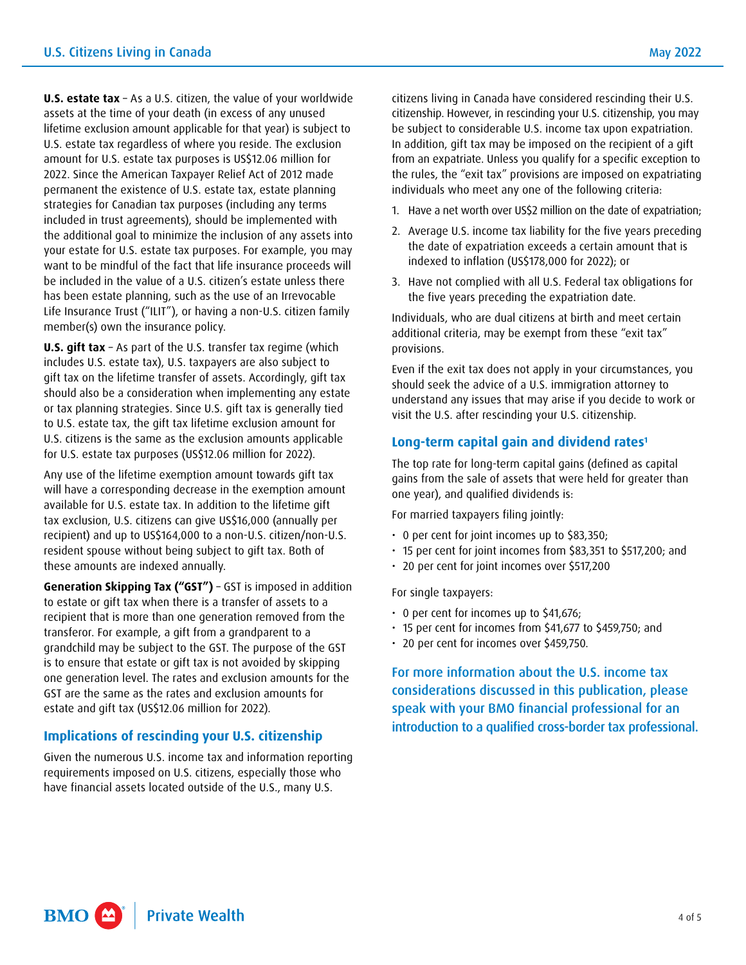**U.S. estate tax** – As a U.S. citizen, the value of your worldwide assets at the time of your death (in excess of any unused lifetime exclusion amount applicable for that year) is subject to U.S. estate tax regardless of where you reside. The exclusion amount for U.S. estate tax purposes is US\$12.06 million for 2022. Since the American Taxpayer Relief Act of 2012 made permanent the existence of U.S. estate tax, estate planning strategies for Canadian tax purposes (including any terms included in trust agreements), should be implemented with the additional goal to minimize the inclusion of any assets into your estate for U.S. estate tax purposes. For example, you may want to be mindful of the fact that life insurance proceeds will be included in the value of a U.S. citizen's estate unless there has been estate planning, such as the use of an Irrevocable Life Insurance Trust ("ILIT"), or having a non-U.S. citizen family member(s) own the insurance policy.

**U.S. gift tax** – As part of the U.S. transfer tax regime (which includes U.S. estate tax), U.S. taxpayers are also subject to gift tax on the lifetime transfer of assets. Accordingly, gift tax should also be a consideration when implementing any estate or tax planning strategies. Since U.S. gift tax is generally tied to U.S. estate tax, the gift tax lifetime exclusion amount for U.S. citizens is the same as the exclusion amounts applicable for U.S. estate tax purposes (US\$12.06 million for 2022).

Any use of the lifetime exemption amount towards gift tax will have a corresponding decrease in the exemption amount available for U.S. estate tax. In addition to the lifetime gift tax exclusion, U.S. citizens can give US\$16,000 (annually per recipient) and up to US\$164,000 to a non-U.S. citizen/non-U.S. resident spouse without being subject to gift tax. Both of these amounts are indexed annually.

**Generation Skipping Tax ("GST")** – GST is imposed in addition to estate or gift tax when there is a transfer of assets to a recipient that is more than one generation removed from the transferor. For example, a gift from a grandparent to a grandchild may be subject to the GST. The purpose of the GST is to ensure that estate or gift tax is not avoided by skipping one generation level. The rates and exclusion amounts for the GST are the same as the rates and exclusion amounts for estate and gift tax (US\$12.06 million for 2022).

#### **Implications of rescinding your U.S. citizenship**

Given the numerous U.S. income tax and information reporting requirements imposed on U.S. citizens, especially those who have financial assets located outside of the U.S., many U.S.

citizens living in Canada have considered rescinding their U.S. citizenship. However, in rescinding your U.S. citizenship, you may be subject to considerable U.S. income tax upon expatriation. In addition, gift tax may be imposed on the recipient of a gift from an expatriate. Unless you qualify for a specific exception to the rules, the "exit tax" provisions are imposed on expatriating individuals who meet any one of the following criteria:

- 1. Have a net worth over US\$2 million on the date of expatriation;
- 2. Average U.S. income tax liability for the five years preceding the date of expatriation exceeds a certain amount that is indexed to inflation (US\$178,000 for 2022); or
- 3. Have not complied with all U.S. Federal tax obligations for the five years preceding the expatriation date.

Individuals, who are dual citizens at birth and meet certain additional criteria, may be exempt from these "exit tax" provisions.

Even if the exit tax does not apply in your circumstances, you should seek the advice of a U.S. immigration attorney to understand any issues that may arise if you decide to work or visit the U.S. after rescinding your U.S. citizenship.

#### **Long-term capital gain and dividend rates[1](#page-4-0)**

The top rate for long-term capital gains (defined as capital gains from the sale of assets that were held for greater than one year), and qualified dividends is:

For married taxpayers filing jointly:

- 0 per cent for joint incomes up to \$83,350;
- 15 per cent for joint incomes from \$83,351 to \$517,200; and
- 20 per cent for joint incomes over \$517,200

For single taxpayers:

- 0 per cent for incomes up to \$41,676;
- 15 per cent for incomes from \$41,677 to \$459,750; and
- 20 per cent for incomes over \$459,750.

For more information about the U.S. income tax considerations discussed in this publication, please speak with your BMO financial professional for an introduction to a qualified cross-border tax professional.